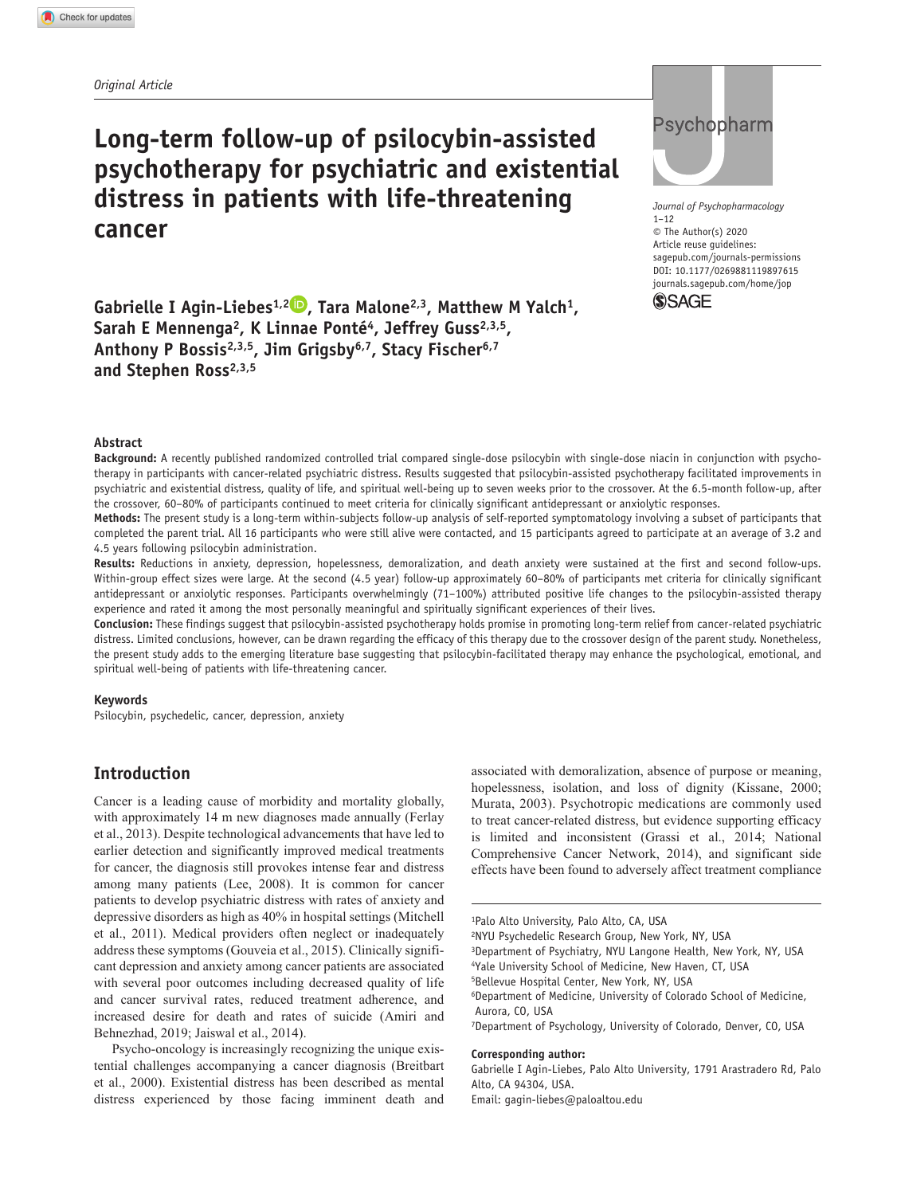# **Long-term follow-up of psilocybin-assisted psychotherapy for psychiatric and existential distress in patients with life-threatening cancer**



*Journal of Psychopharmacology* 1–12 © The Author(s) 2020 Article reuse guidelines: [sagepub.com/journals-permissions](https://uk.sagepub.com/en-gb/journals-permissions) DOI: 10.1177/0269881119897615 [journals.sagepub.com/home/jop](https://journals.sagepub.com/home/jop) **SSAGE** 

Gabrielle I Agin-Liebes<sup>1,2</sup> **b**, Tara Malone<sup>2,3</sup>, Matthew M Yalch<sup>1</sup>, Sarah E Mennenga<sup>2</sup>, K Linnae Ponté<sup>4</sup>, Jeffrey Guss<sup>2,3,5</sup>, **Anthony P Bossis2,3,5, Jim Grigsby6,7, Stacy Fischer6,7** and Stephen Ross<sup>2,3,5</sup>

#### **Abstract**

Background: A recently published randomized controlled trial compared single-dose psilocybin with single-dose niacin in conjunction with psychotherapy in participants with cancer-related psychiatric distress. Results suggested that psilocybin-assisted psychotherapy facilitated improvements in psychiatric and existential distress, quality of life, and spiritual well-being up to seven weeks prior to the crossover. At the 6.5-month follow-up, after the crossover, 60–80% of participants continued to meet criteria for clinically significant antidepressant or anxiolytic responses.

**Methods:** The present study is a long-term within-subjects follow-up analysis of self-reported symptomatology involving a subset of participants that completed the parent trial. All 16 participants who were still alive were contacted, and 15 participants agreed to participate at an average of 3.2 and 4.5 years following psilocybin administration.

**Results:** Reductions in anxiety, depression, hopelessness, demoralization, and death anxiety were sustained at the first and second follow-ups. Within-group effect sizes were large. At the second (4.5 year) follow-up approximately 60–80% of participants met criteria for clinically significant antidepressant or anxiolytic responses. Participants overwhelmingly (71–100%) attributed positive life changes to the psilocybin-assisted therapy experience and rated it among the most personally meaningful and spiritually significant experiences of their lives.

**Conclusion:** These findings suggest that psilocybin-assisted psychotherapy holds promise in promoting long-term relief from cancer-related psychiatric distress. Limited conclusions, however, can be drawn regarding the efficacy of this therapy due to the crossover design of the parent study. Nonetheless, the present study adds to the emerging literature base suggesting that psilocybin-facilitated therapy may enhance the psychological, emotional, and spiritual well-being of patients with life-threatening cancer.

#### **Keywords**

Psilocybin, psychedelic, cancer, depression, anxiety

# **Introduction**

Cancer is a leading cause of morbidity and mortality globally, with approximately 14 m new diagnoses made annually (Ferlay et al., 2013). Despite technological advancements that have led to earlier detection and significantly improved medical treatments for cancer, the diagnosis still provokes intense fear and distress among many patients (Lee, 2008). It is common for cancer patients to develop psychiatric distress with rates of anxiety and depressive disorders as high as 40% in hospital settings (Mitchell et al., 2011). Medical providers often neglect or inadequately address these symptoms (Gouveia et al., 2015). Clinically significant depression and anxiety among cancer patients are associated with several poor outcomes including decreased quality of life and cancer survival rates, reduced treatment adherence, and increased desire for death and rates of suicide (Amiri and Behnezhad, 2019; Jaiswal et al., 2014).

Psycho-oncology is increasingly recognizing the unique existential challenges accompanying a cancer diagnosis (Breitbart et al., 2000). Existential distress has been described as mental distress experienced by those facing imminent death and

associated with demoralization, absence of purpose or meaning, hopelessness, isolation, and loss of dignity (Kissane, 2000; Murata, 2003). Psychotropic medications are commonly used to treat cancer-related distress, but evidence supporting efficacy is limited and inconsistent (Grassi et al., 2014; National Comprehensive Cancer Network, 2014), and significant side effects have been found to adversely affect treatment compliance

#### **Corresponding author:**

Gabrielle I Agin-Liebes, Palo Alto University, 1791 Arastradero Rd, Palo Alto, CA 94304, USA.

Email: [gagin-liebes@paloaltou.edu](mailto:gagin-liebes@paloaltou.edu)

<sup>1</sup>Palo Alto University, Palo Alto, CA, USA

<sup>2</sup>NYU Psychedelic Research Group, New York, NY, USA

<sup>3</sup>Department of Psychiatry, NYU Langone Health, New York, NY, USA

<sup>4</sup>Yale University School of Medicine, New Haven, CT, USA

<sup>5</sup>Bellevue Hospital Center, New York, NY, USA

<sup>6</sup>Department of Medicine, University of Colorado School of Medicine, Aurora, CO, USA

<sup>7</sup>Department of Psychology, University of Colorado, Denver, CO, USA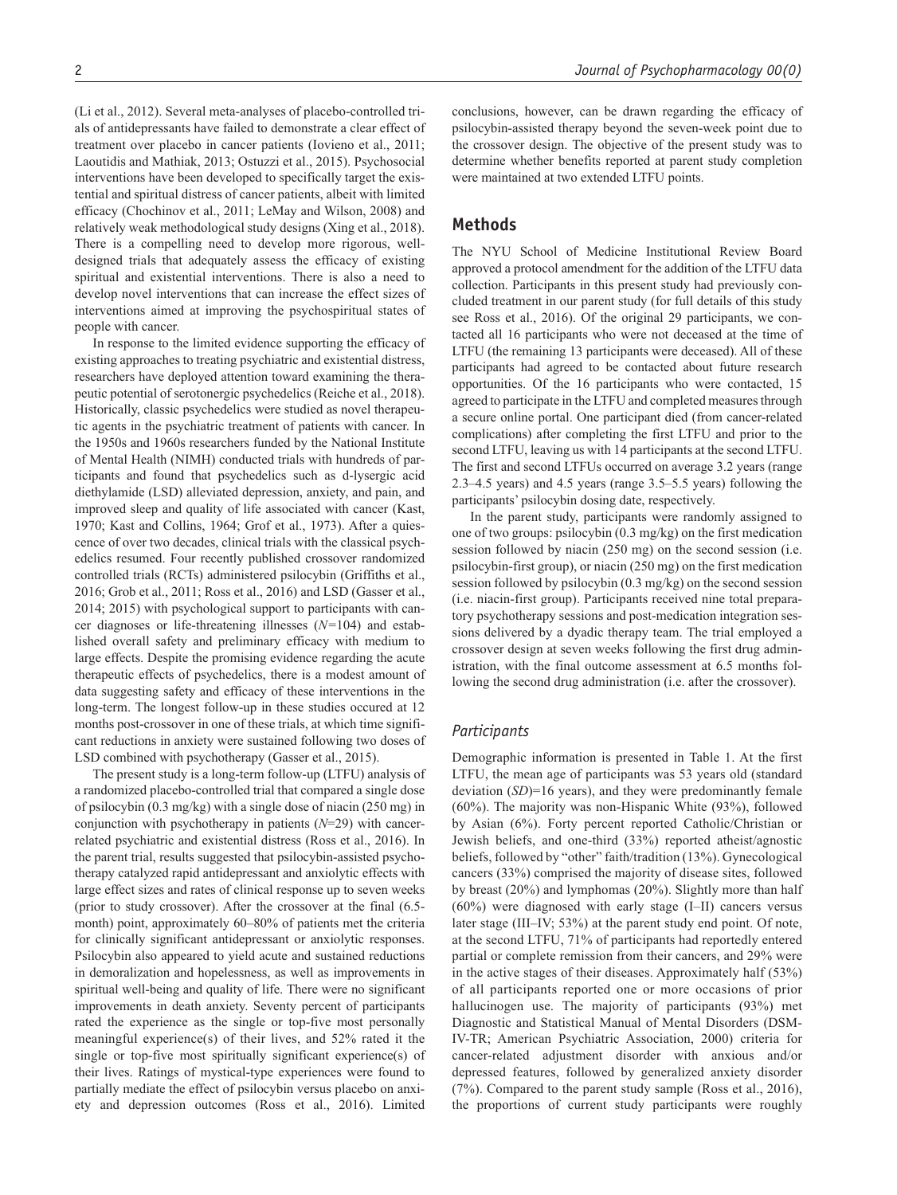(Li et al., 2012). Several meta-analyses of placebo-controlled trials of antidepressants have failed to demonstrate a clear effect of treatment over placebo in cancer patients (Iovieno et al., 2011; Laoutidis and Mathiak, 2013; Ostuzzi et al., 2015). Psychosocial interventions have been developed to specifically target the existential and spiritual distress of cancer patients, albeit with limited efficacy (Chochinov et al., 2011; LeMay and Wilson, 2008) and relatively weak methodological study designs (Xing et al., 2018). There is a compelling need to develop more rigorous, welldesigned trials that adequately assess the efficacy of existing spiritual and existential interventions. There is also a need to develop novel interventions that can increase the effect sizes of interventions aimed at improving the psychospiritual states of people with cancer.

In response to the limited evidence supporting the efficacy of existing approaches to treating psychiatric and existential distress, researchers have deployed attention toward examining the therapeutic potential of serotonergic psychedelics (Reiche et al., 2018). Historically, classic psychedelics were studied as novel therapeutic agents in the psychiatric treatment of patients with cancer. In the 1950s and 1960s researchers funded by the National Institute of Mental Health (NIMH) conducted trials with hundreds of participants and found that psychedelics such as d-lysergic acid diethylamide (LSD) alleviated depression, anxiety, and pain, and improved sleep and quality of life associated with cancer (Kast, 1970; Kast and Collins, 1964; Grof et al., 1973). After a quiescence of over two decades, clinical trials with the classical psychedelics resumed. Four recently published crossover randomized controlled trials (RCTs) administered psilocybin (Griffiths et al., 2016; Grob et al., 2011; Ross et al., 2016) and LSD (Gasser et al., 2014; 2015) with psychological support to participants with cancer diagnoses or life-threatening illnesses (*N=*104) and established overall safety and preliminary efficacy with medium to large effects. Despite the promising evidence regarding the acute therapeutic effects of psychedelics, there is a modest amount of data suggesting safety and efficacy of these interventions in the long-term. The longest follow-up in these studies occured at 12 months post-crossover in one of these trials, at which time significant reductions in anxiety were sustained following two doses of LSD combined with psychotherapy (Gasser et al., 2015).

The present study is a long-term follow-up (LTFU) analysis of a randomized placebo-controlled trial that compared a single dose of psilocybin (0.3 mg/kg) with a single dose of niacin (250 mg) in conjunction with psychotherapy in patients (*N*=29) with cancerrelated psychiatric and existential distress (Ross et al., 2016). In the parent trial, results suggested that psilocybin-assisted psychotherapy catalyzed rapid antidepressant and anxiolytic effects with large effect sizes and rates of clinical response up to seven weeks (prior to study crossover). After the crossover at the final (6.5 month) point, approximately 60–80% of patients met the criteria for clinically significant antidepressant or anxiolytic responses. Psilocybin also appeared to yield acute and sustained reductions in demoralization and hopelessness, as well as improvements in spiritual well-being and quality of life. There were no significant improvements in death anxiety. Seventy percent of participants rated the experience as the single or top-five most personally meaningful experience(s) of their lives, and 52% rated it the single or top-five most spiritually significant experience(s) of their lives. Ratings of mystical-type experiences were found to partially mediate the effect of psilocybin versus placebo on anxiety and depression outcomes (Ross et al., 2016). Limited

conclusions, however, can be drawn regarding the efficacy of psilocybin-assisted therapy beyond the seven-week point due to the crossover design. The objective of the present study was to determine whether benefits reported at parent study completion were maintained at two extended LTFU points.

### **Methods**

The NYU School of Medicine Institutional Review Board approved a protocol amendment for the addition of the LTFU data collection. Participants in this present study had previously concluded treatment in our parent study (for full details of this study see Ross et al., 2016). Of the original 29 participants, we contacted all 16 participants who were not deceased at the time of LTFU (the remaining 13 participants were deceased). All of these participants had agreed to be contacted about future research opportunities. Of the 16 participants who were contacted, 15 agreed to participate in the LTFU and completed measures through a secure online portal. One participant died (from cancer-related complications) after completing the first LTFU and prior to the second LTFU, leaving us with 14 participants at the second LTFU. The first and second LTFUs occurred on average 3.2 years (range 2.3–4.5 years) and 4.5 years (range 3.5–5.5 years) following the participants' psilocybin dosing date, respectively.

In the parent study, participants were randomly assigned to one of two groups: psilocybin (0.3 mg/kg) on the first medication session followed by niacin (250 mg) on the second session (i.e. psilocybin-first group), or niacin (250 mg) on the first medication session followed by psilocybin (0.3 mg/kg) on the second session (i.e. niacin-first group). Participants received nine total preparatory psychotherapy sessions and post-medication integration sessions delivered by a dyadic therapy team. The trial employed a crossover design at seven weeks following the first drug administration, with the final outcome assessment at 6.5 months following the second drug administration (i.e. after the crossover).

### *Participants*

Demographic information is presented in Table 1. At the first LTFU, the mean age of participants was 53 years old (standard deviation (*SD*)=16 years), and they were predominantly female (60%). The majority was non-Hispanic White (93%), followed by Asian (6%). Forty percent reported Catholic/Christian or Jewish beliefs, and one-third (33%) reported atheist/agnostic beliefs, followed by "other" faith/tradition (13%). Gynecological cancers (33%) comprised the majority of disease sites, followed by breast (20%) and lymphomas (20%). Slightly more than half (60%) were diagnosed with early stage (I–II) cancers versus later stage (III–IV; 53%) at the parent study end point. Of note, at the second LTFU, 71% of participants had reportedly entered partial or complete remission from their cancers, and 29% were in the active stages of their diseases. Approximately half (53%) of all participants reported one or more occasions of prior hallucinogen use. The majority of participants (93%) met Diagnostic and Statistical Manual of Mental Disorders (DSM-IV-TR; American Psychiatric Association, 2000) criteria for cancer-related adjustment disorder with anxious and/or depressed features, followed by generalized anxiety disorder (7%). Compared to the parent study sample (Ross et al., 2016), the proportions of current study participants were roughly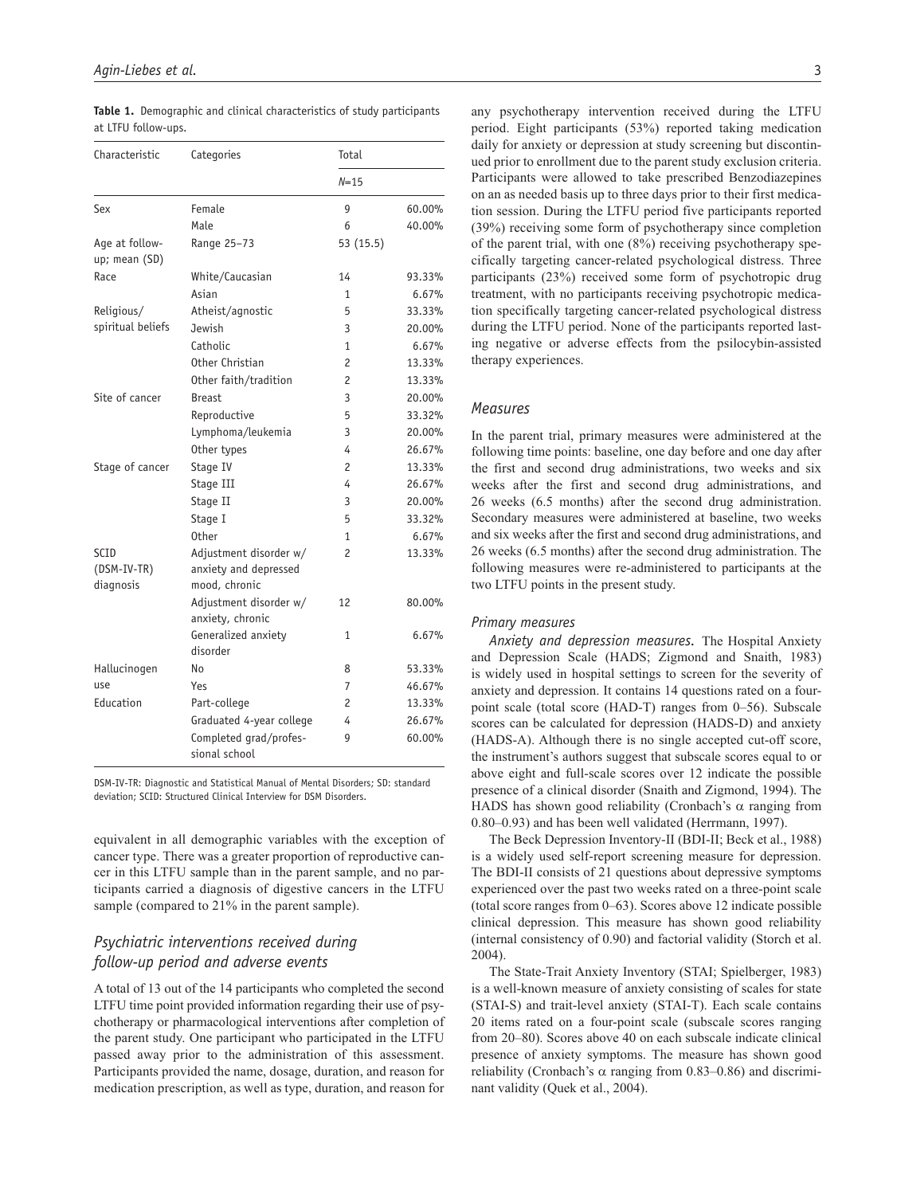| Characteristic                   | Categories                                                       | Total<br>$N = 15$ |        |
|----------------------------------|------------------------------------------------------------------|-------------------|--------|
|                                  |                                                                  |                   |        |
| Sex                              | Female                                                           | 9                 | 60.00% |
|                                  | Male                                                             | 6                 | 40.00% |
| Age at follow-<br>up; mean (SD)  | Range 25-73                                                      | 53 (15.5)         |        |
| Race                             | White/Caucasian                                                  | 14                | 93.33% |
|                                  | Asian                                                            | 1                 | 6.67%  |
| Religious/                       | Atheist/agnostic                                                 | 5                 | 33.33% |
| spiritual beliefs                | Jewish                                                           | 3                 | 20.00% |
|                                  | Catholic                                                         | $\mathbf{1}$      | 6.67%  |
|                                  | Other Christian                                                  | $\overline{c}$    | 13.33% |
|                                  | Other faith/tradition                                            | $\overline{c}$    | 13.33% |
| Site of cancer                   | <b>Breast</b>                                                    | 3                 | 20.00% |
|                                  | Reproductive                                                     | 5                 | 33.32% |
|                                  | Lymphoma/leukemia                                                | 3                 | 20.00% |
|                                  | Other types                                                      | 4                 | 26.67% |
| Stage of cancer                  | Stage IV                                                         | 2                 | 13.33% |
|                                  | Stage III                                                        | 4                 | 26.67% |
|                                  | Stage II                                                         | 3                 | 20.00% |
|                                  | Stage I                                                          | 5                 | 33.32% |
|                                  | 0ther                                                            | 1                 | 6.67%  |
| SCID<br>(DSM-IV-TR)<br>diagnosis | Adjustment disorder w/<br>anxiety and depressed<br>mood, chronic | 2                 | 13.33% |
|                                  | Adjustment disorder w/<br>anxiety, chronic                       | 12                | 80.00% |
|                                  | Generalized anxiety<br>disorder                                  | $\mathbf{1}$      | 6.67%  |
| Hallucinogen                     | No                                                               | 8                 | 53.33% |
| use                              | Yes                                                              | 7                 | 46.67% |
| Education                        | Part-college                                                     | 2                 | 13.33% |
|                                  | Graduated 4-year college                                         | 4                 | 26.67% |
|                                  | Completed grad/profes-<br>sional school                          | 9                 | 60.00% |

**Table 1.** Demographic and clinical characteristics of study participants at LTFU follow-ups.

DSM-IV-TR: Diagnostic and Statistical Manual of Mental Disorders; SD: standard deviation; SCID: Structured Clinical Interview for DSM Disorders.

equivalent in all demographic variables with the exception of cancer type. There was a greater proportion of reproductive cancer in this LTFU sample than in the parent sample, and no participants carried a diagnosis of digestive cancers in the LTFU sample (compared to 21% in the parent sample).

# *Psychiatric interventions received during follow-up period and adverse events*

A total of 13 out of the 14 participants who completed the second LTFU time point provided information regarding their use of psychotherapy or pharmacological interventions after completion of the parent study. One participant who participated in the LTFU passed away prior to the administration of this assessment. Participants provided the name, dosage, duration, and reason for medication prescription, as well as type, duration, and reason for

any psychotherapy intervention received during the LTFU period. Eight participants (53%) reported taking medication daily for anxiety or depression at study screening but discontinued prior to enrollment due to the parent study exclusion criteria. Participants were allowed to take prescribed Benzodiazepines on an as needed basis up to three days prior to their first medication session. During the LTFU period five participants reported (39%) receiving some form of psychotherapy since completion of the parent trial, with one (8%) receiving psychotherapy specifically targeting cancer-related psychological distress. Three participants (23%) received some form of psychotropic drug treatment, with no participants receiving psychotropic medication specifically targeting cancer-related psychological distress during the LTFU period. None of the participants reported lasting negative or adverse effects from the psilocybin-assisted therapy experiences.

#### *Measures*

In the parent trial, primary measures were administered at the following time points: baseline, one day before and one day after the first and second drug administrations, two weeks and six weeks after the first and second drug administrations, and 26 weeks (6.5 months) after the second drug administration. Secondary measures were administered at baseline, two weeks and six weeks after the first and second drug administrations, and 26 weeks (6.5 months) after the second drug administration. The following measures were re-administered to participants at the two LTFU points in the present study.

#### *Primary measures*

*Anxiety and depression measures.* The Hospital Anxiety and Depression Scale (HADS; Zigmond and Snaith, 1983) is widely used in hospital settings to screen for the severity of anxiety and depression. It contains 14 questions rated on a fourpoint scale (total score (HAD-T) ranges from 0–56). Subscale scores can be calculated for depression (HADS-D) and anxiety (HADS-A). Although there is no single accepted cut-off score, the instrument's authors suggest that subscale scores equal to or above eight and full-scale scores over 12 indicate the possible presence of a clinical disorder (Snaith and Zigmond, 1994). The HADS has shown good reliability (Cronbach's  $\alpha$  ranging from 0.80–0.93) and has been well validated (Herrmann, 1997).

The Beck Depression Inventory-II (BDI-II; Beck et al., 1988) is a widely used self-report screening measure for depression. The BDI-II consists of 21 questions about depressive symptoms experienced over the past two weeks rated on a three-point scale (total score ranges from 0–63). Scores above 12 indicate possible clinical depression. This measure has shown good reliability (internal consistency of 0.90) and factorial validity (Storch et al. 2004).

The State-Trait Anxiety Inventory (STAI; Spielberger, 1983) is a well-known measure of anxiety consisting of scales for state (STAI-S) and trait-level anxiety (STAI-T). Each scale contains 20 items rated on a four-point scale (subscale scores ranging from 20–80). Scores above 40 on each subscale indicate clinical presence of anxiety symptoms. The measure has shown good reliability (Cronbach's  $\alpha$  ranging from 0.83–0.86) and discriminant validity (Quek et al., 2004).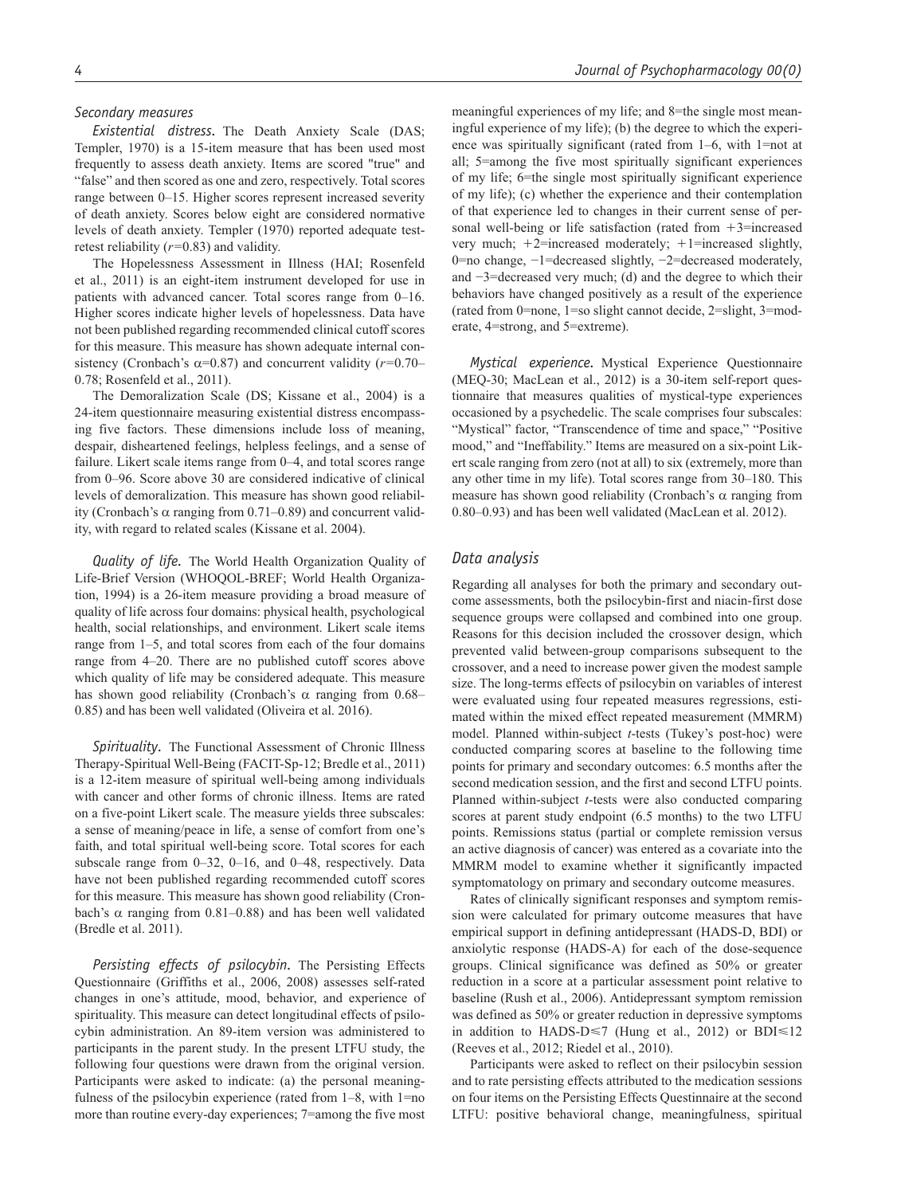#### *Secondary measures*

*Existential distress.* The Death Anxiety Scale (DAS; Templer, 1970) is a 15-item measure that has been used most frequently to assess death anxiety. Items are scored "true" and "false" and then scored as one and zero, respectively. Total scores range between 0–15. Higher scores represent increased severity of death anxiety. Scores below eight are considered normative levels of death anxiety. Templer (1970) reported adequate testretest reliability (*r=*0.83) and validity.

The Hopelessness Assessment in Illness (HAI; Rosenfeld et al., 2011) is an eight-item instrument developed for use in patients with advanced cancer. Total scores range from 0–16. Higher scores indicate higher levels of hopelessness. Data have not been published regarding recommended clinical cutoff scores for this measure. This measure has shown adequate internal consistency (Cronbach's α=0.87) and concurrent validity (*r=*0.70– 0.78; Rosenfeld et al., 2011).

The Demoralization Scale (DS; Kissane et al., 2004) is a 24-item questionnaire measuring existential distress encompassing five factors. These dimensions include loss of meaning, despair, disheartened feelings, helpless feelings, and a sense of failure. Likert scale items range from 0–4, and total scores range from 0–96. Score above 30 are considered indicative of clinical levels of demoralization. This measure has shown good reliability (Cronbach's α ranging from 0.71–0.89) and concurrent validity, with regard to related scales (Kissane et al. 2004).

*Quality of life.* The World Health Organization Quality of Life-Brief Version (WHOQOL-BREF; World Health Organization, 1994) is a 26-item measure providing a broad measure of quality of life across four domains: physical health, psychological health, social relationships, and environment. Likert scale items range from 1–5, and total scores from each of the four domains range from 4–20. There are no published cutoff scores above which quality of life may be considered adequate. This measure has shown good reliability (Cronbach's α ranging from 0.68– 0.85) and has been well validated (Oliveira et al. 2016).

*Spirituality.* The Functional Assessment of Chronic Illness Therapy-Spiritual Well-Being (FACIT-Sp-12; Bredle et al., 2011) is a 12-item measure of spiritual well-being among individuals with cancer and other forms of chronic illness. Items are rated on a five-point Likert scale. The measure yields three subscales: a sense of meaning/peace in life, a sense of comfort from one's faith, and total spiritual well-being score. Total scores for each subscale range from 0–32, 0–16, and 0–48, respectively. Data have not been published regarding recommended cutoff scores for this measure. This measure has shown good reliability (Cronbach's α ranging from 0.81–0.88) and has been well validated (Bredle et al. 2011).

*Persisting effects of psilocybin.* The Persisting Effects Questionnaire (Griffiths et al., 2006, 2008) assesses self-rated changes in one's attitude, mood, behavior, and experience of spirituality. This measure can detect longitudinal effects of psilocybin administration. An 89-item version was administered to participants in the parent study. In the present LTFU study, the following four questions were drawn from the original version. Participants were asked to indicate: (a) the personal meaningfulness of the psilocybin experience (rated from 1–8, with 1=no more than routine every-day experiences; 7=among the five most meaningful experiences of my life; and 8=the single most meaningful experience of my life); (b) the degree to which the experience was spiritually significant (rated from 1–6, with 1=not at all; 5=among the five most spiritually significant experiences of my life; 6=the single most spiritually significant experience of my life); (c) whether the experience and their contemplation of that experience led to changes in their current sense of personal well-being or life satisfaction (rated from  $+3$ =increased very much;  $+2$ =increased moderately;  $+1$ =increased slightly, 0=no change, −1=decreased slightly, −2=decreased moderately, and −3=decreased very much; (d) and the degree to which their behaviors have changed positively as a result of the experience (rated from 0=none, 1=so slight cannot decide, 2=slight, 3=moderate, 4=strong, and 5=extreme).

*Mystical experience.* Mystical Experience Questionnaire (MEQ-30; MacLean et al., 2012) is a 30-item self-report questionnaire that measures qualities of mystical-type experiences occasioned by a psychedelic. The scale comprises four subscales: "Mystical" factor, "Transcendence of time and space," "Positive mood," and "Ineffability." Items are measured on a six-point Likert scale ranging from zero (not at all) to six (extremely, more than any other time in my life). Total scores range from 30–180. This measure has shown good reliability (Cronbach's  $\alpha$  ranging from 0.80–0.93) and has been well validated (MacLean et al. 2012).

### *Data analysis*

Regarding all analyses for both the primary and secondary outcome assessments, both the psilocybin-first and niacin-first dose sequence groups were collapsed and combined into one group. Reasons for this decision included the crossover design, which prevented valid between-group comparisons subsequent to the crossover, and a need to increase power given the modest sample size. The long-terms effects of psilocybin on variables of interest were evaluated using four repeated measures regressions, estimated within the mixed effect repeated measurement (MMRM) model. Planned within-subject *t*-tests (Tukey's post-hoc) were conducted comparing scores at baseline to the following time points for primary and secondary outcomes: 6.5 months after the second medication session, and the first and second LTFU points. Planned within-subject *t*-tests were also conducted comparing scores at parent study endpoint (6.5 months) to the two LTFU points. Remissions status (partial or complete remission versus an active diagnosis of cancer) was entered as a covariate into the MMRM model to examine whether it significantly impacted symptomatology on primary and secondary outcome measures.

Rates of clinically significant responses and symptom remission were calculated for primary outcome measures that have empirical support in defining antidepressant (HADS-D, BDI) or anxiolytic response (HADS-A) for each of the dose-sequence groups. Clinical significance was defined as 50% or greater reduction in a score at a particular assessment point relative to baseline (Rush et al., 2006). Antidepressant symptom remission was defined as 50% or greater reduction in depressive symptoms in addition to HADS-D≤7 (Hung et al., 2012) or BDI≤12 (Reeves et al., 2012; Riedel et al., 2010).

Participants were asked to reflect on their psilocybin session and to rate persisting effects attributed to the medication sessions on four items on the Persisting Effects Questinnaire at the second LTFU: positive behavioral change, meaningfulness, spiritual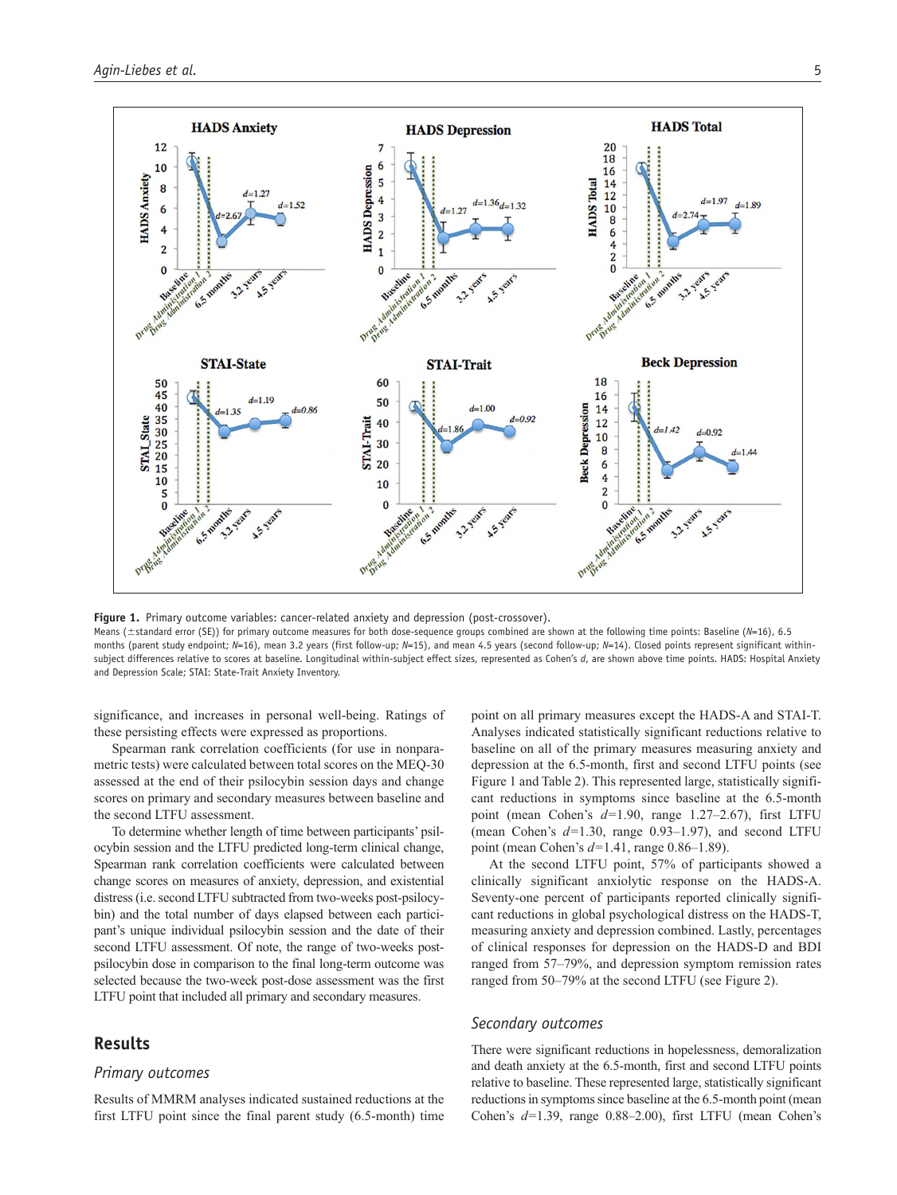

**Figure 1.** Primary outcome variables: cancer-related anxiety and depression (post-crossover).

Means (±standard error (SE)) for primary outcome measures for both dose-sequence groups combined are shown at the following time points: Baseline (*n*=16), 6.5 months (parent study endpoint; *n*=16), mean 3.2 years (first follow-up; *n*=15), and mean 4.5 years (second follow-up; *n*=14). Closed points represent significant withinsubject differences relative to scores at baseline. Longitudinal within-subject effect sizes, represented as Cohen's *d*, are shown above time points. HADS: Hospital Anxiety and Depression Scale; STAI: State-Trait Anxiety Inventory.

significance, and increases in personal well-being. Ratings of these persisting effects were expressed as proportions.

Spearman rank correlation coefficients (for use in nonparametric tests) were calculated between total scores on the MEQ-30 assessed at the end of their psilocybin session days and change scores on primary and secondary measures between baseline and the second LTFU assessment.

To determine whether length of time between participants' psilocybin session and the LTFU predicted long-term clinical change, Spearman rank correlation coefficients were calculated between change scores on measures of anxiety, depression, and existential distress (i.e. second LTFU subtracted from two-weeks post-psilocybin) and the total number of days elapsed between each participant's unique individual psilocybin session and the date of their second LTFU assessment. Of note, the range of two-weeks postpsilocybin dose in comparison to the final long-term outcome was selected because the two-week post-dose assessment was the first LTFU point that included all primary and secondary measures.

# **Results**

#### *Primary outcomes*

Results of MMRM analyses indicated sustained reductions at the first LTFU point since the final parent study (6.5-month) time

point on all primary measures except the HADS-A and STAI-T. Analyses indicated statistically significant reductions relative to baseline on all of the primary measures measuring anxiety and depression at the 6.5-month, first and second LTFU points (see Figure 1 and Table 2). This represented large, statistically significant reductions in symptoms since baseline at the 6.5-month point (mean Cohen's *d=*1.90, range 1.27–2.67), first LTFU (mean Cohen's *d=*1.30, range 0.93–1.97), and second LTFU point (mean Cohen's *d=*1.41, range 0.86–1.89).

At the second LTFU point, 57% of participants showed a clinically significant anxiolytic response on the HADS-A. Seventy-one percent of participants reported clinically significant reductions in global psychological distress on the HADS-T, measuring anxiety and depression combined. Lastly, percentages of clinical responses for depression on the HADS-D and BDI ranged from 57–79%, and depression symptom remission rates ranged from 50–79% at the second LTFU (see Figure 2).

### *Secondary outcomes*

There were significant reductions in hopelessness, demoralization and death anxiety at the 6.5-month, first and second LTFU points relative to baseline. These represented large, statistically significant reductions in symptoms since baseline at the 6.5-month point (mean Cohen's *d=*1.39, range 0.88–2.00), first LTFU (mean Cohen's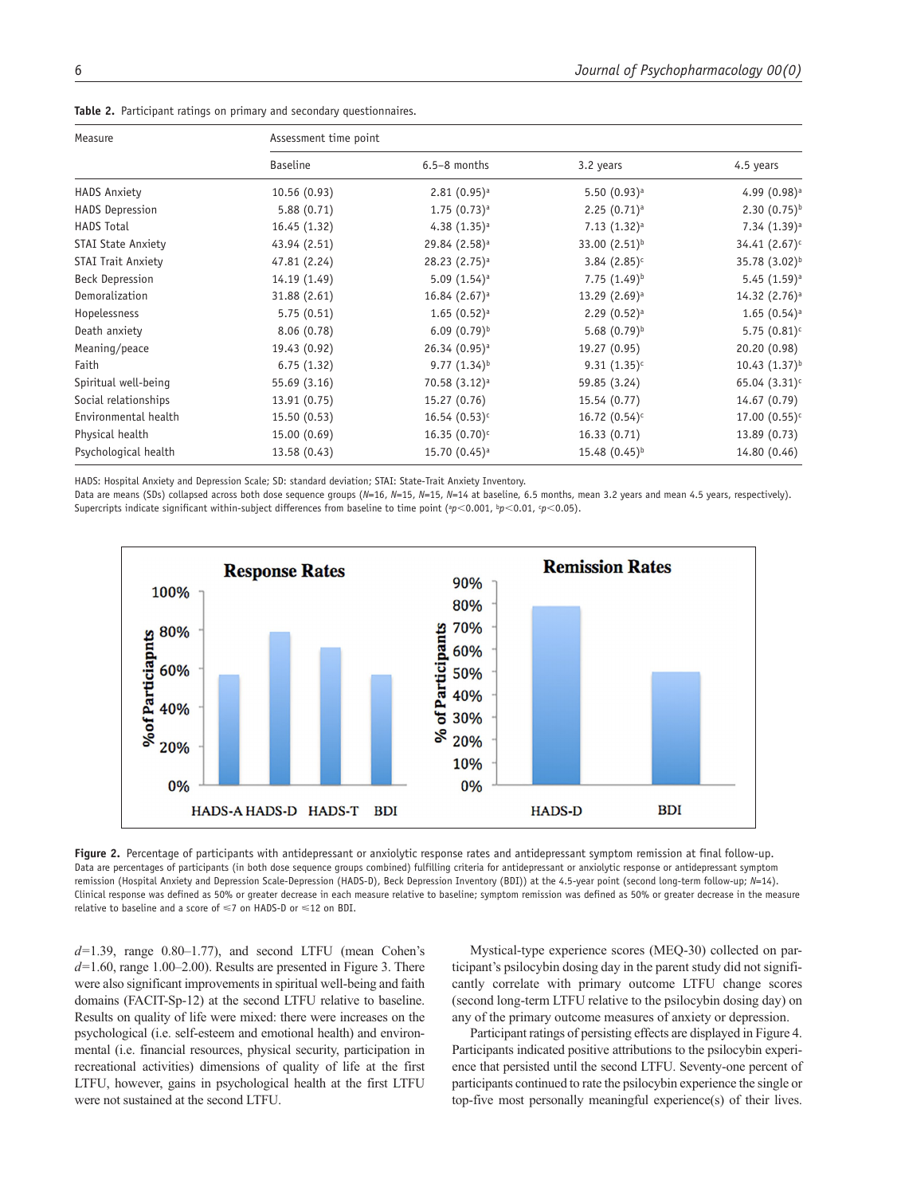| Measure                   | Assessment time point |                           |                            |                            |  |
|---------------------------|-----------------------|---------------------------|----------------------------|----------------------------|--|
|                           | <b>Baseline</b>       | $6.5 - 8$ months          | 3.2 years                  | 4.5 years                  |  |
| <b>HADS Anxiety</b>       | 10.56(0.93)           | $2.81(0.95)^a$            | $5.50(0.93)^a$             | $4.99(0.98)^3$             |  |
| <b>HADS Depression</b>    | 5.88(0.71)            | $1.75(0.73)^a$            | $2.25(0.71)^a$             | 2.30 $(0.75)^{b}$          |  |
| <b>HADS Total</b>         | 16.45(1.32)           | $4.38(1.35)^a$            | $7.13(1.32)^a$             | $7.34(1.39)^{3}$           |  |
| <b>STAI State Anxiety</b> | 43.94 (2.51)          | 29.84 (2.58) <sup>a</sup> | 33.00 $(2.51)^{b}$         | $34.41(2.67)$ <sup>c</sup> |  |
| <b>STAI Trait Anxiety</b> | 47.81 (2.24)          | $28.23(2.75)^a$           | $3.84$ (2.85) <sup>c</sup> | 35.78 (3.02) <sup>b</sup>  |  |
| <b>Beck Depression</b>    | 14.19 (1.49)          | 5.09 $(1.54)^a$           | $7.75(1.49)^{b}$           | $5.45(1.59)^{3}$           |  |
| Demoralization            | 31.88 (2.61)          | $16.84$ $(2.67)^a$        | $13.29(2.69)^a$            | $14.32(2.76)^{3}$          |  |
| Hopelessness              | 5.75(0.51)            | $1.65(0.52)^a$            | $2.29(0.52)^a$             | $1.65(0.54)^{3}$           |  |
| Death anxiety             | 8.06(0.78)            | $6.09(0.79)^b$            | 5.68 $(0.79)^{b}$          | 5.75 $(0.81)$ <sup>c</sup> |  |
| Meaning/peace             | 19.43 (0.92)          | 26.34 (0.95) <sup>a</sup> | 19.27 (0.95)               | 20.20 (0.98)               |  |
| Faith                     | 6.75(1.32)            | 9.77 $(1.34)^b$           | 9.31 $(1.35)^c$            | $10.43(1.37)^t$            |  |
| Spiritual well-being      | 55.69(3.16)           | $70.58(3.12)^a$           | 59.85 (3.24)               | $65.04(3.31)$ <sup>c</sup> |  |
| Social relationships      | 13.91(0.75)           | 15.27(0.76)               | 15.54(0.77)                | 14.67(0.79)                |  |
| Environmental health      | 15.50(0.53)           | $16.54(0.53)^c$           | $16.72(0.54)^c$            | $17.00(0.55)^{c}$          |  |
| Physical health           | 15.00(0.69)           | $16.35(0.70)^c$           | 16.33(0.71)                | 13.89(0.73)                |  |
| Psychological health      | 13.58(0.43)           | 15.70 (0.45) <sup>a</sup> | $15.48(0.45)^{b}$          | 14.80 (0.46)               |  |

**Table 2.** Participant ratings on primary and secondary questionnaires.

HADS: Hospital Anxiety and Depression Scale; SD: standard deviation; STAI: State-Trait Anxiety Inventory.

Data are means (SDs) collapsed across both dose sequence groups (N=16, N=15, N=15, N=14 at baseline, 6.5 months, mean 3.2 years and mean 4.5 years, respectively). Supercripts indicate significant within-subject differences from baseline to time point (?p<0.001, <sup>b</sup>p<0.01, <sup>c</sup>p<0.05).



**Figure 2.** Percentage of participants with antidepressant or anxiolytic response rates and antidepressant symptom remission at final follow-up. Data are percentages of participants (in both dose sequence groups combined) fulfilling criteria for antidepressant or anxiolytic response or antidepressant symptom remission (Hospital Anxiety and Depression Scale-Depression (HADS-D), Beck Depression Inventory (BDI)) at the 4.5-year point (second long-term follow-up; *n*=14). Clinical response was defined as 50% or greater decrease in each measure relative to baseline; symptom remission was defined as 50% or greater decrease in the measure relative to baseline and a score of  $\leq 7$  on HADS-D or  $\leq 12$  on BDI.

*d=*1.39, range 0.80–1.77), and second LTFU (mean Cohen's *d=*1.60, range 1.00–2.00). Results are presented in Figure 3. There were also significant improvements in spiritual well-being and faith domains (FACIT-Sp-12) at the second LTFU relative to baseline. Results on quality of life were mixed: there were increases on the psychological (i.e. self-esteem and emotional health) and environmental (i.e. financial resources, physical security, participation in recreational activities) dimensions of quality of life at the first LTFU, however, gains in psychological health at the first LTFU were not sustained at the second LTFU.

Mystical-type experience scores (MEQ-30) collected on participant's psilocybin dosing day in the parent study did not significantly correlate with primary outcome LTFU change scores (second long-term LTFU relative to the psilocybin dosing day) on any of the primary outcome measures of anxiety or depression.

Participant ratings of persisting effects are displayed in Figure 4. Participants indicated positive attributions to the psilocybin experience that persisted until the second LTFU. Seventy-one percent of participants continued to rate the psilocybin experience the single or top-five most personally meaningful experience(s) of their lives.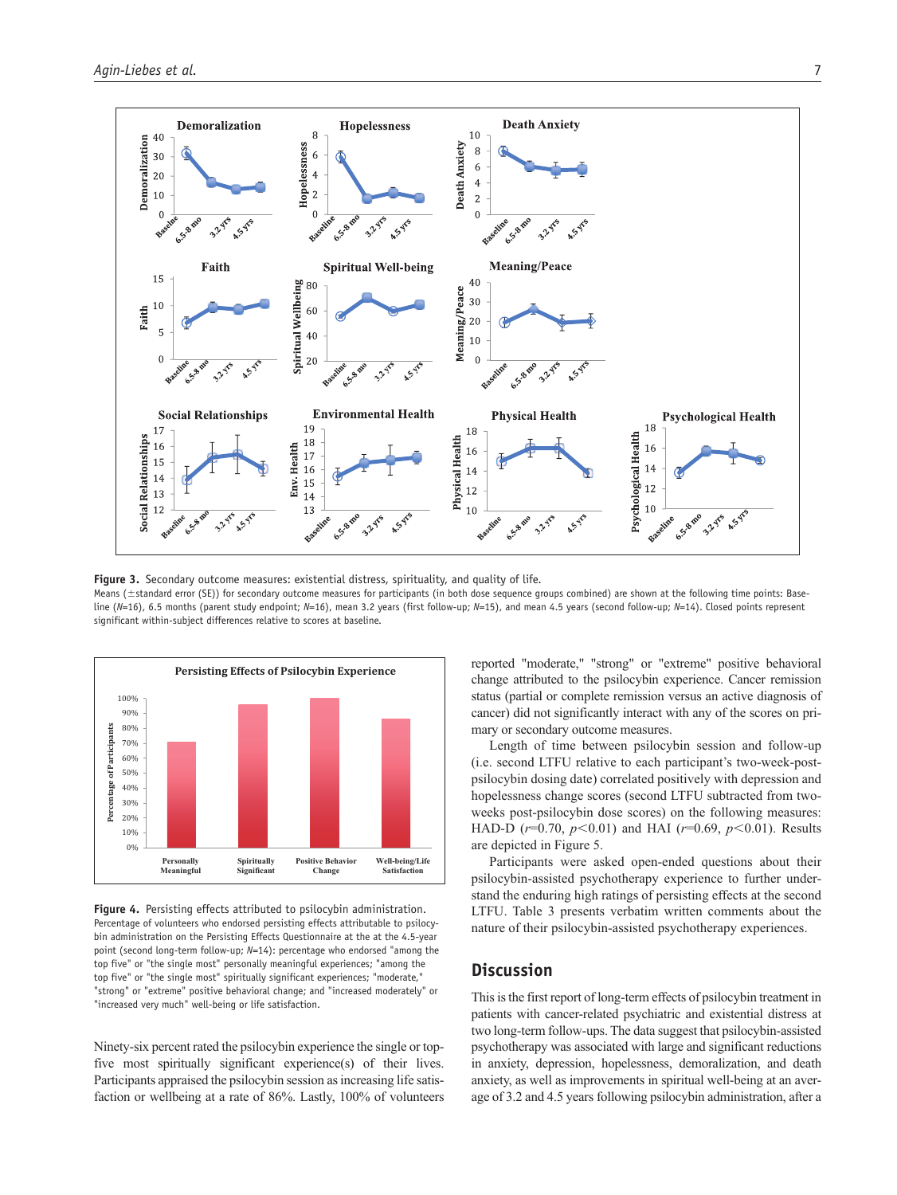

**Figure 3.** Secondary outcome measures: existential distress, spirituality, and quality of life.

Means (±standard error (SE)) for secondary outcome measures for participants (in both dose sequence groups combined) are shown at the following time points: Baseline (*n*=16), 6.5 months (parent study endpoint; *n*=16), mean 3.2 years (first follow-up; *n*=15), and mean 4.5 years (second follow-up; *n*=14). Closed points represent significant within-subject differences relative to scores at baseline.



**Figure 4.** Persisting effects attributed to psilocybin administration. Percentage of volunteers who endorsed persisting effects attributable to psilocybin administration on the Persisting Effects Questionnaire at the at the 4.5-year point (second long-term follow-up; *n*=14): percentage who endorsed "among the top five" or "the single most" personally meaningful experiences; "among the top five" or "the single most" spiritually significant experiences; "moderate," "strong" or "extreme" positive behavioral change; and "increased moderately" or "increased very much" well-being or life satisfaction.

Ninety-six percent rated the psilocybin experience the single or topfive most spiritually significant experience(s) of their lives. Participants appraised the psilocybin session as increasing life satisfaction or wellbeing at a rate of 86%. Lastly, 100% of volunteers reported "moderate," "strong" or "extreme" positive behavioral change attributed to the psilocybin experience. Cancer remission status (partial or complete remission versus an active diagnosis of cancer) did not significantly interact with any of the scores on primary or secondary outcome measures.

Length of time between psilocybin session and follow-up (i.e. second LTFU relative to each participant's two-week-postpsilocybin dosing date) correlated positively with depression and hopelessness change scores (second LTFU subtracted from twoweeks post-psilocybin dose scores) on the following measures: HAD-D (*r*=0.70, *p*<0.01) and HAI (*r*=0.69, *p*<0.01). Results are depicted in Figure 5.

Participants were asked open-ended questions about their psilocybin-assisted psychotherapy experience to further understand the enduring high ratings of persisting effects at the second LTFU. Table 3 presents verbatim written comments about the nature of their psilocybin-assisted psychotherapy experiences.

# **Discussion**

This is the first report of long-term effects of psilocybin treatment in patients with cancer-related psychiatric and existential distress at two long-term follow-ups. The data suggest that psilocybin-assisted psychotherapy was associated with large and significant reductions in anxiety, depression, hopelessness, demoralization, and death anxiety, as well as improvements in spiritual well-being at an average of 3.2 and 4.5 years following psilocybin administration, after a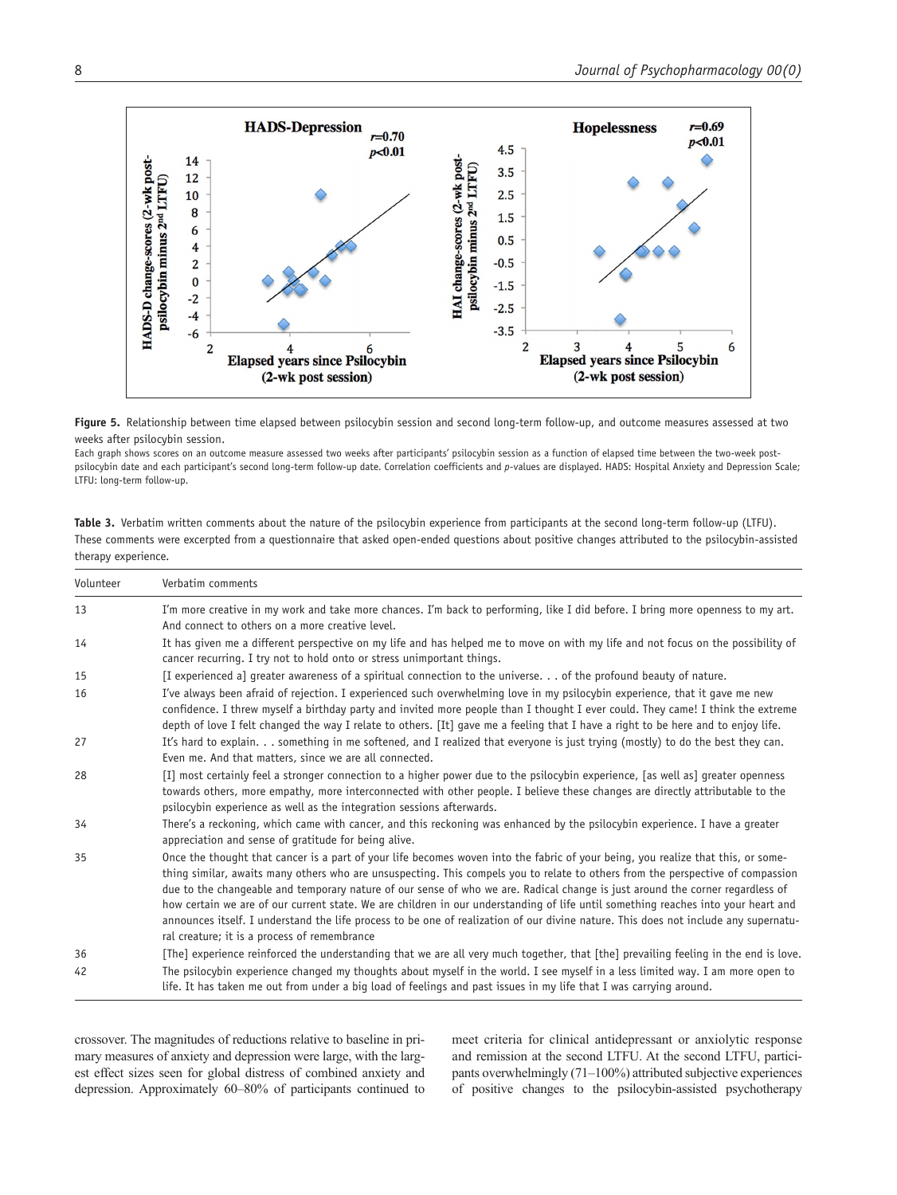

**Figure 5.** Relationship between time elapsed between psilocybin session and second long-term follow-up, and outcome measures assessed at two weeks after psilocybin session.

Each graph shows scores on an outcome measure assessed two weeks after participants' psilocybin session as a function of elapsed time between the two-week postpsilocybin date and each participant's second long-term follow-up date. Correlation coefficients and *p*-values are displayed. HADS: Hospital Anxiety and Depression Scale; LTFU: long-term follow-up.

**Table 3.** Verbatim written comments about the nature of the psilocybin experience from participants at the second long-term follow-up (LTFU). These comments were excerpted from a questionnaire that asked open-ended questions about positive changes attributed to the psilocybin-assisted therapy experience.

| Volunteer | Verbatim comments                                                                                                                                                                                                                                                                                                                                                                                                                                                                                                                                                                                                                                                                                                                |
|-----------|----------------------------------------------------------------------------------------------------------------------------------------------------------------------------------------------------------------------------------------------------------------------------------------------------------------------------------------------------------------------------------------------------------------------------------------------------------------------------------------------------------------------------------------------------------------------------------------------------------------------------------------------------------------------------------------------------------------------------------|
| 13        | I'm more creative in my work and take more chances. I'm back to performing, like I did before. I bring more openness to my art.<br>And connect to others on a more creative level.                                                                                                                                                                                                                                                                                                                                                                                                                                                                                                                                               |
| 14        | It has given me a different perspective on my life and has helped me to move on with my life and not focus on the possibility of<br>cancer recurring. I try not to hold onto or stress unimportant things.                                                                                                                                                                                                                                                                                                                                                                                                                                                                                                                       |
| 15        | [I experienced a] greater awareness of a spiritual connection to the universe. $\ldots$ of the profound beauty of nature.                                                                                                                                                                                                                                                                                                                                                                                                                                                                                                                                                                                                        |
| 16        | I've always been afraid of rejection. I experienced such overwhelming love in my psilocybin experience, that it gave me new<br>confidence. I threw myself a birthday party and invited more people than I thought I ever could. They came! I think the extreme<br>depth of love I felt changed the way I relate to others. [It] gave me a feeling that I have a right to be here and to enjoy life.                                                                                                                                                                                                                                                                                                                              |
| 27        | It's hard to explain. something in me softened, and I realized that everyone is just trying (mostly) to do the best they can.<br>Even me. And that matters, since we are all connected.                                                                                                                                                                                                                                                                                                                                                                                                                                                                                                                                          |
| 28        | [I] most certainly feel a stronger connection to a higher power due to the psilocybin experience, [as well as] greater openness<br>towards others, more empathy, more interconnected with other people. I believe these changes are directly attributable to the<br>psilocybin experience as well as the integration sessions afterwards.                                                                                                                                                                                                                                                                                                                                                                                        |
| 34        | There's a reckoning, which came with cancer, and this reckoning was enhanced by the psilocybin experience. I have a greater<br>appreciation and sense of gratitude for being alive.                                                                                                                                                                                                                                                                                                                                                                                                                                                                                                                                              |
| 35        | Once the thought that cancer is a part of your life becomes woven into the fabric of your being, you realize that this, or some-<br>thing similar, awaits many others who are unsuspecting. This compels you to relate to others from the perspective of compassion<br>due to the changeable and temporary nature of our sense of who we are. Radical change is just around the corner regardless of<br>how certain we are of our current state. We are children in our understanding of life until something reaches into your heart and<br>announces itself. I understand the life process to be one of realization of our divine nature. This does not include any supernatu-<br>ral creature; it is a process of remembrance |
| 36        | [The] experience reinforced the understanding that we are all very much together, that [the] prevailing feeling in the end is love.                                                                                                                                                                                                                                                                                                                                                                                                                                                                                                                                                                                              |
| 42        | The psilocybin experience changed my thoughts about myself in the world. I see myself in a less limited way. I am more open to<br>life. It has taken me out from under a big load of feelings and past issues in my life that I was carrying around.                                                                                                                                                                                                                                                                                                                                                                                                                                                                             |

crossover. The magnitudes of reductions relative to baseline in primary measures of anxiety and depression were large, with the largest effect sizes seen for global distress of combined anxiety and depression. Approximately 60–80% of participants continued to

meet criteria for clinical antidepressant or anxiolytic response and remission at the second LTFU. At the second LTFU, participants overwhelmingly (71–100%) attributed subjective experiences of positive changes to the psilocybin-assisted psychotherapy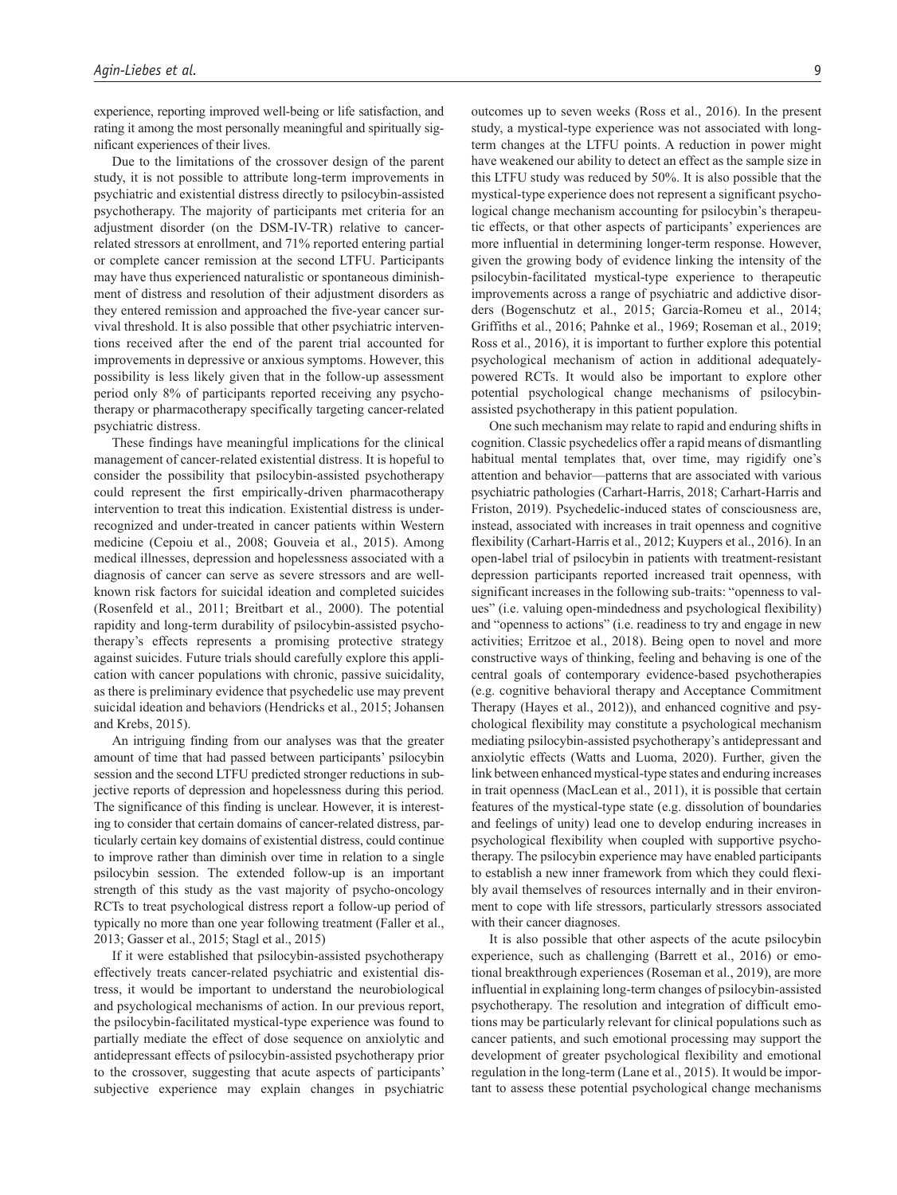experience, reporting improved well-being or life satisfaction, and rating it among the most personally meaningful and spiritually significant experiences of their lives.

Due to the limitations of the crossover design of the parent study, it is not possible to attribute long-term improvements in psychiatric and existential distress directly to psilocybin-assisted psychotherapy. The majority of participants met criteria for an adjustment disorder (on the DSM-IV-TR) relative to cancerrelated stressors at enrollment, and 71% reported entering partial or complete cancer remission at the second LTFU. Participants may have thus experienced naturalistic or spontaneous diminishment of distress and resolution of their adjustment disorders as they entered remission and approached the five-year cancer survival threshold. It is also possible that other psychiatric interventions received after the end of the parent trial accounted for improvements in depressive or anxious symptoms. However, this possibility is less likely given that in the follow-up assessment period only 8% of participants reported receiving any psychotherapy or pharmacotherapy specifically targeting cancer-related psychiatric distress.

These findings have meaningful implications for the clinical management of cancer-related existential distress. It is hopeful to consider the possibility that psilocybin-assisted psychotherapy could represent the first empirically-driven pharmacotherapy intervention to treat this indication. Existential distress is underrecognized and under-treated in cancer patients within Western medicine (Cepoiu et al., 2008; Gouveia et al., 2015). Among medical illnesses, depression and hopelessness associated with a diagnosis of cancer can serve as severe stressors and are wellknown risk factors for suicidal ideation and completed suicides (Rosenfeld et al., 2011; Breitbart et al., 2000). The potential rapidity and long-term durability of psilocybin-assisted psychotherapy's effects represents a promising protective strategy against suicides. Future trials should carefully explore this application with cancer populations with chronic, passive suicidality, as there is preliminary evidence that psychedelic use may prevent suicidal ideation and behaviors (Hendricks et al., 2015; Johansen and Krebs, 2015).

An intriguing finding from our analyses was that the greater amount of time that had passed between participants' psilocybin session and the second LTFU predicted stronger reductions in subjective reports of depression and hopelessness during this period. The significance of this finding is unclear. However, it is interesting to consider that certain domains of cancer-related distress, particularly certain key domains of existential distress, could continue to improve rather than diminish over time in relation to a single psilocybin session. The extended follow-up is an important strength of this study as the vast majority of psycho-oncology RCTs to treat psychological distress report a follow-up period of typically no more than one year following treatment (Faller et al., 2013; Gasser et al., 2015; Stagl et al., 2015)

If it were established that psilocybin-assisted psychotherapy effectively treats cancer-related psychiatric and existential distress, it would be important to understand the neurobiological and psychological mechanisms of action. In our previous report, the psilocybin-facilitated mystical-type experience was found to partially mediate the effect of dose sequence on anxiolytic and antidepressant effects of psilocybin-assisted psychotherapy prior to the crossover, suggesting that acute aspects of participants' subjective experience may explain changes in psychiatric outcomes up to seven weeks (Ross et al., 2016). In the present study, a mystical-type experience was not associated with longterm changes at the LTFU points. A reduction in power might have weakened our ability to detect an effect as the sample size in this LTFU study was reduced by 50%. It is also possible that the mystical-type experience does not represent a significant psychological change mechanism accounting for psilocybin's therapeutic effects, or that other aspects of participants' experiences are more influential in determining longer-term response. However, given the growing body of evidence linking the intensity of the psilocybin-facilitated mystical-type experience to therapeutic improvements across a range of psychiatric and addictive disorders (Bogenschutz et al., 2015; Garcia-Romeu et al., 2014; Griffiths et al., 2016; Pahnke et al., 1969; Roseman et al., 2019; Ross et al., 2016), it is important to further explore this potential psychological mechanism of action in additional adequatelypowered RCTs. It would also be important to explore other potential psychological change mechanisms of psilocybinassisted psychotherapy in this patient population.

One such mechanism may relate to rapid and enduring shifts in cognition. Classic psychedelics offer a rapid means of dismantling habitual mental templates that, over time, may rigidify one's attention and behavior—patterns that are associated with various psychiatric pathologies (Carhart-Harris, 2018; Carhart-Harris and Friston, 2019). Psychedelic-induced states of consciousness are, instead, associated with increases in trait openness and cognitive flexibility (Carhart-Harris et al., 2012; Kuypers et al., 2016). In an open-label trial of psilocybin in patients with treatment-resistant depression participants reported increased trait openness, with significant increases in the following sub-traits: "openness to values" (i.e. valuing open-mindedness and psychological flexibility) and "openness to actions" (i.e. readiness to try and engage in new activities; Erritzoe et al., 2018). Being open to novel and more constructive ways of thinking, feeling and behaving is one of the central goals of contemporary evidence-based psychotherapies (e.g. cognitive behavioral therapy and Acceptance Commitment Therapy (Hayes et al., 2012)), and enhanced cognitive and psychological flexibility may constitute a psychological mechanism mediating psilocybin-assisted psychotherapy's antidepressant and anxiolytic effects (Watts and Luoma, 2020). Further, given the link between enhanced mystical-type states and enduring increases in trait openness (MacLean et al., 2011), it is possible that certain features of the mystical-type state (e.g. dissolution of boundaries and feelings of unity) lead one to develop enduring increases in psychological flexibility when coupled with supportive psychotherapy. The psilocybin experience may have enabled participants to establish a new inner framework from which they could flexibly avail themselves of resources internally and in their environment to cope with life stressors, particularly stressors associated with their cancer diagnoses.

It is also possible that other aspects of the acute psilocybin experience, such as challenging (Barrett et al., 2016) or emotional breakthrough experiences (Roseman et al., 2019), are more influential in explaining long-term changes of psilocybin-assisted psychotherapy. The resolution and integration of difficult emotions may be particularly relevant for clinical populations such as cancer patients, and such emotional processing may support the development of greater psychological flexibility and emotional regulation in the long-term (Lane et al., 2015). It would be important to assess these potential psychological change mechanisms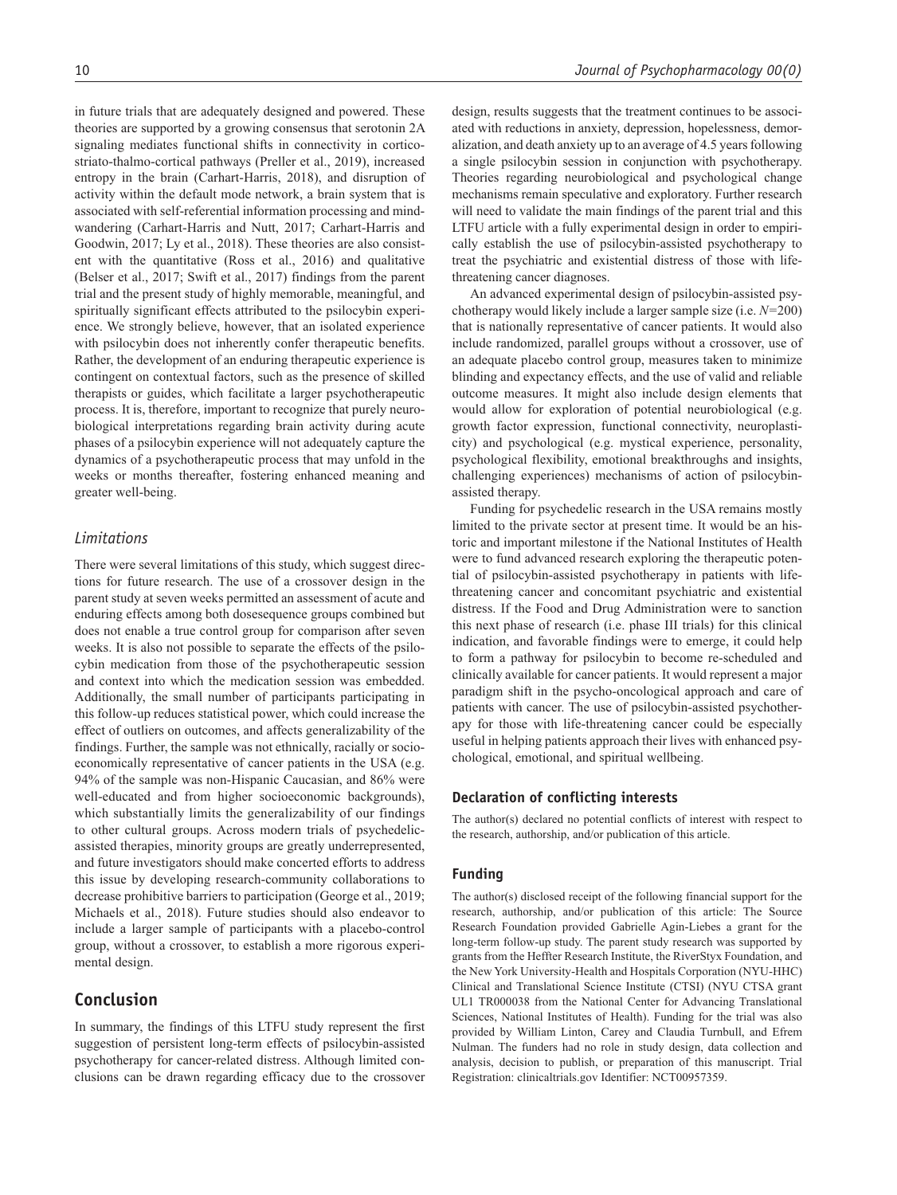in future trials that are adequately designed and powered. These theories are supported by a growing consensus that serotonin 2A signaling mediates functional shifts in connectivity in corticostriato-thalmo-cortical pathways (Preller et al., 2019), increased entropy in the brain (Carhart-Harris, 2018), and disruption of activity within the default mode network, a brain system that is associated with self-referential information processing and mindwandering (Carhart-Harris and Nutt, 2017; Carhart-Harris and Goodwin, 2017; Ly et al., 2018). These theories are also consistent with the quantitative (Ross et al., 2016) and qualitative (Belser et al., 2017; Swift et al., 2017) findings from the parent trial and the present study of highly memorable, meaningful, and spiritually significant effects attributed to the psilocybin experience. We strongly believe, however, that an isolated experience with psilocybin does not inherently confer therapeutic benefits. Rather, the development of an enduring therapeutic experience is contingent on contextual factors, such as the presence of skilled therapists or guides, which facilitate a larger psychotherapeutic process. It is, therefore, important to recognize that purely neurobiological interpretations regarding brain activity during acute phases of a psilocybin experience will not adequately capture the dynamics of a psychotherapeutic process that may unfold in the weeks or months thereafter, fostering enhanced meaning and greater well-being.

### *Limitations*

There were several limitations of this study, which suggest directions for future research. The use of a crossover design in the parent study at seven weeks permitted an assessment of acute and enduring effects among both dosesequence groups combined but does not enable a true control group for comparison after seven weeks. It is also not possible to separate the effects of the psilocybin medication from those of the psychotherapeutic session and context into which the medication session was embedded. Additionally, the small number of participants participating in this follow-up reduces statistical power, which could increase the effect of outliers on outcomes, and affects generalizability of the findings. Further, the sample was not ethnically, racially or socioeconomically representative of cancer patients in the USA (e.g. 94% of the sample was non-Hispanic Caucasian, and 86% were well-educated and from higher socioeconomic backgrounds), which substantially limits the generalizability of our findings to other cultural groups. Across modern trials of psychedelicassisted therapies, minority groups are greatly underrepresented, and future investigators should make concerted efforts to address this issue by developing research-community collaborations to decrease prohibitive barriers to participation (George et al., 2019; Michaels et al., 2018). Future studies should also endeavor to include a larger sample of participants with a placebo-control group, without a crossover, to establish a more rigorous experimental design.

# **Conclusion**

In summary, the findings of this LTFU study represent the first suggestion of persistent long-term effects of psilocybin-assisted psychotherapy for cancer-related distress. Although limited conclusions can be drawn regarding efficacy due to the crossover design, results suggests that the treatment continues to be associated with reductions in anxiety, depression, hopelessness, demoralization, and death anxiety up to an average of 4.5 years following a single psilocybin session in conjunction with psychotherapy. Theories regarding neurobiological and psychological change mechanisms remain speculative and exploratory. Further research will need to validate the main findings of the parent trial and this LTFU article with a fully experimental design in order to empirically establish the use of psilocybin-assisted psychotherapy to treat the psychiatric and existential distress of those with lifethreatening cancer diagnoses.

An advanced experimental design of psilocybin-assisted psychotherapy would likely include a larger sample size (i.e. *N=*200) that is nationally representative of cancer patients. It would also include randomized, parallel groups without a crossover, use of an adequate placebo control group, measures taken to minimize blinding and expectancy effects, and the use of valid and reliable outcome measures. It might also include design elements that would allow for exploration of potential neurobiological (e.g. growth factor expression, functional connectivity, neuroplasticity) and psychological (e.g. mystical experience, personality, psychological flexibility, emotional breakthroughs and insights, challenging experiences) mechanisms of action of psilocybinassisted therapy.

Funding for psychedelic research in the USA remains mostly limited to the private sector at present time. It would be an historic and important milestone if the National Institutes of Health were to fund advanced research exploring the therapeutic potential of psilocybin-assisted psychotherapy in patients with lifethreatening cancer and concomitant psychiatric and existential distress. If the Food and Drug Administration were to sanction this next phase of research (i.e. phase III trials) for this clinical indication, and favorable findings were to emerge, it could help to form a pathway for psilocybin to become re-scheduled and clinically available for cancer patients. It would represent a major paradigm shift in the psycho-oncological approach and care of patients with cancer. The use of psilocybin-assisted psychotherapy for those with life-threatening cancer could be especially useful in helping patients approach their lives with enhanced psychological, emotional, and spiritual wellbeing.

### **Declaration of conflicting interests**

The author(s) declared no potential conflicts of interest with respect to the research, authorship, and/or publication of this article.

#### **Funding**

The author(s) disclosed receipt of the following financial support for the research, authorship, and/or publication of this article: The Source Research Foundation provided Gabrielle Agin-Liebes a grant for the long-term follow-up study. The parent study research was supported by grants from the Heffter Research Institute, the RiverStyx Foundation, and the New York University-Health and Hospitals Corporation (NYU-HHC) Clinical and Translational Science Institute (CTSI) (NYU CTSA grant UL1 TR000038 from the National Center for Advancing Translational Sciences, National Institutes of Health). Funding for the trial was also provided by William Linton, Carey and Claudia Turnbull, and Efrem Nulman. The funders had no role in study design, data collection and analysis, decision to publish, or preparation of this manuscript. Trial Registration: clinicaltrials.gov Identifier: NCT00957359.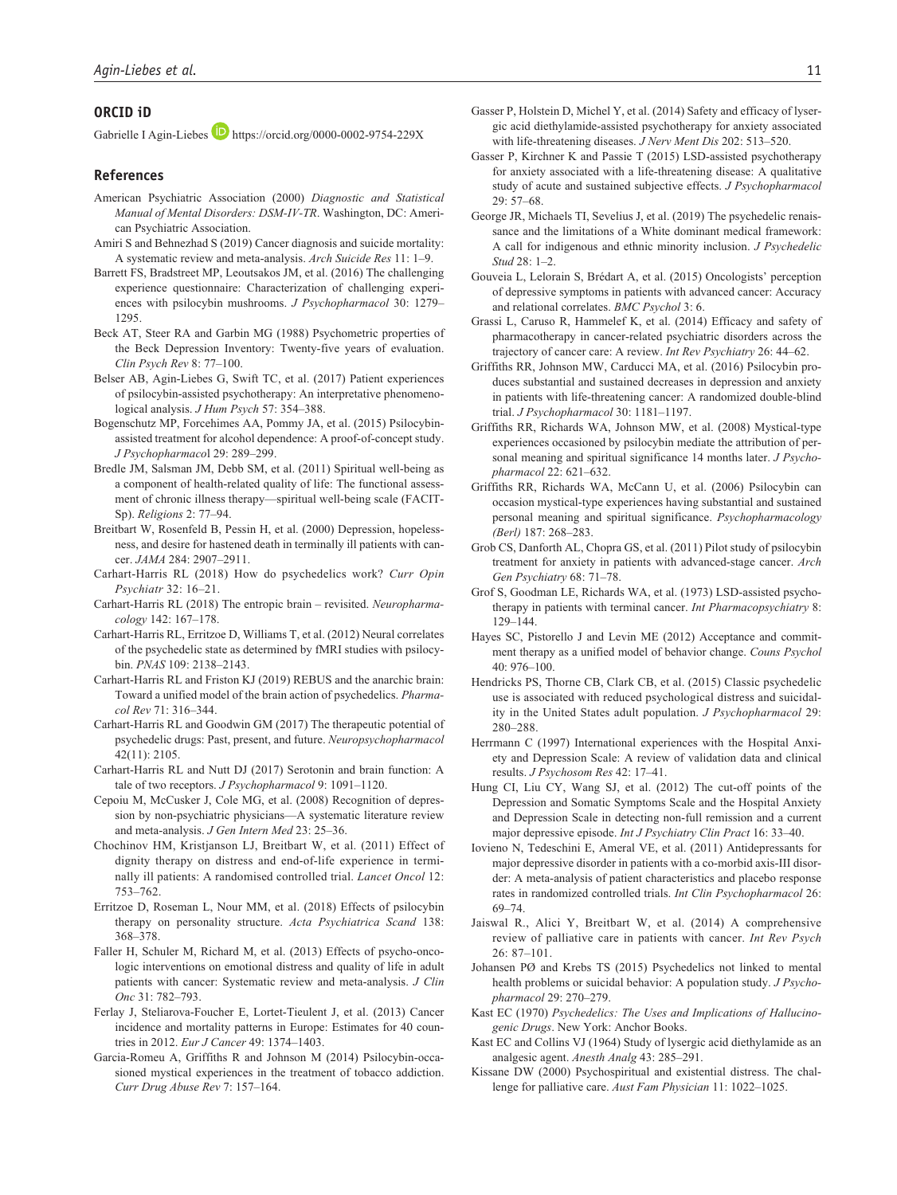### **ORCID iD**

Gabrielle I Agin-Liebes **D** <https://orcid.org/0000-0002-9754-229X>

#### **References**

- American Psychiatric Association (2000) *Diagnostic and Statistical Manual of Mental Disorders: DSM-IV-TR*. Washington, DC: American Psychiatric Association.
- Amiri S and Behnezhad S (2019) Cancer diagnosis and suicide mortality: A systematic review and meta-analysis. *Arch Suicide Res* 11: 1–9.
- Barrett FS, Bradstreet MP, Leoutsakos JM, et al. (2016) The challenging experience questionnaire: Characterization of challenging experiences with psilocybin mushrooms. *J Psychopharmacol* 30: 1279– 1295.
- Beck AT, Steer RA and Garbin MG (1988) Psychometric properties of the Beck Depression Inventory: Twenty-five years of evaluation. *Clin Psych Rev* 8: 77–100.
- Belser AB, Agin-Liebes G, Swift TC, et al. (2017) Patient experiences of psilocybin-assisted psychotherapy: An interpretative phenomenological analysis. *J Hum Psych* 57: 354–388.
- Bogenschutz MP, Forcehimes AA, Pommy JA, et al. (2015) Psilocybinassisted treatment for alcohol dependence: A proof-of-concept study. *J Psychopharmaco*l 29: 289–299.
- Bredle JM, Salsman JM, Debb SM, et al. (2011) Spiritual well-being as a component of health-related quality of life: The functional assessment of chronic illness therapy—spiritual well-being scale (FACIT-Sp). *Religions* 2: 77–94.
- Breitbart W, Rosenfeld B, Pessin H, et al. (2000) Depression, hopelessness, and desire for hastened death in terminally ill patients with cancer. *JAMA* 284: 2907–2911.
- Carhart-Harris RL (2018) How do psychedelics work? *Curr Opin Psychiatr* 32: 16–21.
- Carhart-Harris RL (2018) The entropic brain revisited. *Neuropharmacology* 142: 167–178.
- Carhart-Harris RL, Erritzoe D, Williams T, et al. (2012) Neural correlates of the psychedelic state as determined by fMRI studies with psilocybin. *PNAS* 109: 2138–2143.
- Carhart-Harris RL and Friston KJ (2019) REBUS and the anarchic brain: Toward a unified model of the brain action of psychedelics. *Pharmacol Rev* 71: 316–344.
- Carhart-Harris RL and Goodwin GM (2017) The therapeutic potential of psychedelic drugs: Past, present, and future. *Neuropsychopharmacol* 42(11): 2105.
- Carhart-Harris RL and Nutt DJ (2017) Serotonin and brain function: A tale of two receptors. *J Psychopharmacol* 9: 1091–1120.
- Cepoiu M, McCusker J, Cole MG, et al. (2008) Recognition of depression by non-psychiatric physicians—A systematic literature review and meta-analysis. *J Gen Intern Med* 23: 25–36.
- Chochinov HM, Kristjanson LJ, Breitbart W, et al. (2011) Effect of dignity therapy on distress and end-of-life experience in terminally ill patients: A randomised controlled trial. *Lancet Oncol* 12: 753–762.
- Erritzoe D, Roseman L, Nour MM, et al. (2018) Effects of psilocybin therapy on personality structure. *Acta Psychiatrica Scand* 138: 368–378.
- Faller H, Schuler M, Richard M, et al. (2013) Effects of psycho-oncologic interventions on emotional distress and quality of life in adult patients with cancer: Systematic review and meta-analysis. *J Clin Onc* 31: 782–793.
- Ferlay J, Steliarova-Foucher E, Lortet-Tieulent J, et al. (2013) Cancer incidence and mortality patterns in Europe: Estimates for 40 countries in 2012. *Eur J Cancer* 49: 1374–1403.
- Garcia-Romeu A, Griffiths R and Johnson M (2014) Psilocybin-occasioned mystical experiences in the treatment of tobacco addiction. *Curr Drug Abuse Rev* 7: 157–164.
- Gasser P, Holstein D, Michel Y, et al. (2014) Safety and efficacy of lysergic acid diethylamide-assisted psychotherapy for anxiety associated with life-threatening diseases. *J Nerv Ment Dis* 202: 513–520.
- Gasser P, Kirchner K and Passie T (2015) LSD-assisted psychotherapy for anxiety associated with a life-threatening disease: A qualitative study of acute and sustained subjective effects. *J Psychopharmacol* 29: 57–68.
- George JR, Michaels TI, Sevelius J, et al. (2019) The psychedelic renaissance and the limitations of a White dominant medical framework: A call for indigenous and ethnic minority inclusion. *J Psychedelic Stud* 28: 1–2.
- Gouveia L, Lelorain S, Brédart A, et al. (2015) Oncologists' perception of depressive symptoms in patients with advanced cancer: Accuracy and relational correlates. *BMC Psychol* 3: 6.
- Grassi L, Caruso R, Hammelef K, et al. (2014) Efficacy and safety of pharmacotherapy in cancer-related psychiatric disorders across the trajectory of cancer care: A review. *Int Rev Psychiatry* 26: 44–62.
- Griffiths RR, Johnson MW, Carducci MA, et al. (2016) Psilocybin produces substantial and sustained decreases in depression and anxiety in patients with life-threatening cancer: A randomized double-blind trial. *J Psychopharmacol* 30: 1181–1197.
- Griffiths RR, Richards WA, Johnson MW, et al. (2008) Mystical-type experiences occasioned by psilocybin mediate the attribution of personal meaning and spiritual significance 14 months later. *J Psychopharmacol* 22: 621–632.
- Griffiths RR, Richards WA, McCann U, et al. (2006) Psilocybin can occasion mystical-type experiences having substantial and sustained personal meaning and spiritual significance. *Psychopharmacology (Berl)* 187: 268–283.
- Grob CS, Danforth AL, Chopra GS, et al. (2011) Pilot study of psilocybin treatment for anxiety in patients with advanced-stage cancer. *Arch Gen Psychiatry* 68: 71–78.
- Grof S, Goodman LE, Richards WA, et al. (1973) LSD-assisted psychotherapy in patients with terminal cancer. *Int Pharmacopsychiatry* 8: 129–144.
- Hayes SC, Pistorello J and Levin ME (2012) Acceptance and commitment therapy as a unified model of behavior change. *Couns Psychol* 40: 976–100.
- Hendricks PS, Thorne CB, Clark CB, et al. (2015) Classic psychedelic use is associated with reduced psychological distress and suicidality in the United States adult population. *J Psychopharmacol* 29: 280–288.
- Herrmann C (1997) International experiences with the Hospital Anxiety and Depression Scale: A review of validation data and clinical results. *J Psychosom Res* 42: 17–41.
- Hung CI, Liu CY, Wang SJ, et al. (2012) The cut-off points of the Depression and Somatic Symptoms Scale and the Hospital Anxiety and Depression Scale in detecting non-full remission and a current major depressive episode. *Int J Psychiatry Clin Pract* 16: 33–40.
- Iovieno N, Tedeschini E, Ameral VE, et al. (2011) Antidepressants for major depressive disorder in patients with a co-morbid axis-III disorder: A meta-analysis of patient characteristics and placebo response rates in randomized controlled trials. *Int Clin Psychopharmacol* 26: 69–74.
- Jaiswal R., Alici Y, Breitbart W, et al. (2014) A comprehensive review of palliative care in patients with cancer. *Int Rev Psych* 26: 87–101.
- Johansen PØ and Krebs TS (2015) Psychedelics not linked to mental health problems or suicidal behavior: A population study. *J Psychopharmacol* 29: 270–279.
- Kast EC (1970) *Psychedelics: The Uses and Implications of Hallucinogenic Drugs*. New York: Anchor Books.
- Kast EC and Collins VJ (1964) Study of lysergic acid diethylamide as an analgesic agent. *Anesth Analg* 43: 285–291.
- Kissane DW (2000) Psychospiritual and existential distress. The challenge for palliative care. *Aust Fam Physician* 11: 1022–1025.